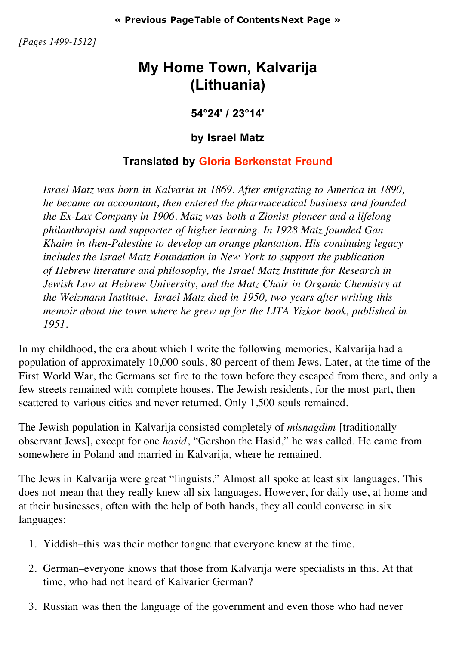*[Pages 1499-1512]*

## **My Home Town, Kalvarija (Lithuania)**

**54°24' / 23°14'**

## **by Israel Matz**

## **Translated by Gloria Berkenstat Freund**

*Israel Matz was born in Kalvaria in 1869. After emigrating to America in 1890, he became an accountant, then entered the pharmaceutical business and founded the Ex-Lax Company in 1906. Matz was both a Zionist pioneer and a lifelong philanthropist and supporter of higher learning. In 1928 Matz founded Gan Khaim in then-Palestine to develop an orange plantation. His continuing legacy includes the Israel Matz Foundation in New York to support the publication of Hebrew literature and philosophy, the Israel Matz Institute for Research in Jewish Law at Hebrew University, and the Matz Chair in Organic Chemistry at the Weizmann Institute. Israel Matz died in 1950, two years after writing this memoir about the town where he grew up for the LITA Yizkor book, published in 1951.*

In my childhood, the era about which I write the following memories, Kalvarija had a population of approximately 10,000 souls, 80 percent of them Jews. Later, at the time of the First World War, the Germans set fire to the town before they escaped from there, and only a few streets remained with complete houses. The Jewish residents, for the most part, then scattered to various cities and never returned. Only 1,500 souls remained.

The Jewish population in Kalvarija consisted completely of *misnagdim* [traditionally observant Jews], except for one *hasid*, "Gershon the Hasid," he was called. He came from somewhere in Poland and married in Kalvarija, where he remained.

The Jews in Kalvarija were great "linguists." Almost all spoke at least six languages. This does not mean that they really knew all six languages. However, for daily use, at home and at their businesses, often with the help of both hands, they all could converse in six languages:

- 1. Yiddish–this was their mother tongue that everyone knew at the time.
- 2. German–everyone knows that those from Kalvarija were specialists in this. At that time, who had not heard of Kalvarier German?
- 3. Russian was then the language of the government and even those who had never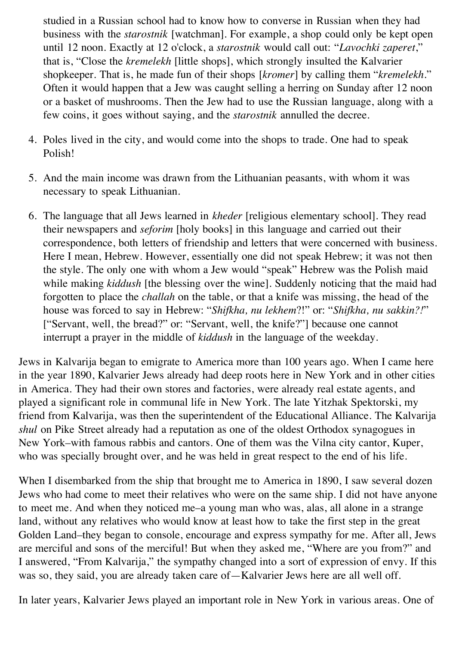studied in a Russian school had to know how to converse in Russian when they had business with the *starostnik* [watchman]. For example, a shop could only be kept open until 12 noon. Exactly at 12 o'clock, a *starostnik* would call out: "*Lavochki zaperet*," that is, "Close the *kremelekh* [little shops], which strongly insulted the Kalvarier shopkeeper. That is, he made fun of their shops [*kromer*] by calling them "*kremelekh*." Often it would happen that a Jew was caught selling a herring on Sunday after 12 noon or a basket of mushrooms. Then the Jew had to use the Russian language, along with a few coins, it goes without saying, and the *starostnik* annulled the decree.

- 4. Poles lived in the city, and would come into the shops to trade. One had to speak Polish!
- 5. And the main income was drawn from the Lithuanian peasants, with whom it was necessary to speak Lithuanian.
- 6. The language that all Jews learned in *kheder* [religious elementary school]. They read their newspapers and *seforim* [holy books] in this language and carried out their correspondence, both letters of friendship and letters that were concerned with business. Here I mean, Hebrew. However, essentially one did not speak Hebrew; it was not then the style. The only one with whom a Jew would "speak" Hebrew was the Polish maid while making *kiddush* [the blessing over the wine]. Suddenly noticing that the maid had forgotten to place the *challah* on the table, or that a knife was missing, the head of the house was forced to say in Hebrew: "*Shifkha, nu lekhem*?!" or: "*Shifkha, nu sakkin?!*" ["Servant, well, the bread?" or: "Servant, well, the knife?"] because one cannot interrupt a prayer in the middle of *kiddush* in the language of the weekday.

Jews in Kalvarija began to emigrate to America more than 100 years ago. When I came here in the year 1890, Kalvarier Jews already had deep roots here in New York and in other cities in America. They had their own stores and factories, were already real estate agents, and played a significant role in communal life in New York. The late Yitzhak Spektorski, my friend from Kalvarija, was then the superintendent of the Educational Alliance. The Kalvarija *shul* on Pike Street already had a reputation as one of the oldest Orthodox synagogues in New York–with famous rabbis and cantors. One of them was the Vilna city cantor, Kuper, who was specially brought over, and he was held in great respect to the end of his life.

When I disembarked from the ship that brought me to America in 1890, I saw several dozen Jews who had come to meet their relatives who were on the same ship. I did not have anyone to meet me. And when they noticed me–a young man who was, alas, all alone in a strange land, without any relatives who would know at least how to take the first step in the great Golden Land–they began to console, encourage and express sympathy for me. After all, Jews are merciful and sons of the merciful! But when they asked me, "Where are you from?" and I answered, "From Kalvarija," the sympathy changed into a sort of expression of envy. If this was so, they said, you are already taken care of—Kalvarier Jews here are all well off.

In later years, Kalvarier Jews played an important role in New York in various areas. One of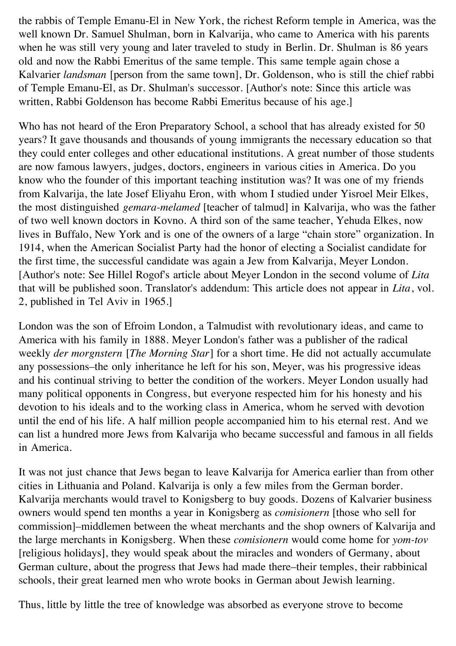the rabbis of Temple Emanu-El in New York, the richest Reform temple in America, was the well known Dr. Samuel Shulman, born in Kalvarija, who came to America with his parents when he was still very young and later traveled to study in Berlin. Dr. Shulman is 86 years old and now the Rabbi Emeritus of the same temple. This same temple again chose a Kalvarier *landsman* [person from the same town], Dr. Goldenson, who is still the chief rabbi of Temple Emanu-El, as Dr. Shulman's successor. [Author's note: Since this article was written, Rabbi Goldenson has become Rabbi Emeritus because of his age.]

Who has not heard of the Eron Preparatory School, a school that has already existed for 50 years? It gave thousands and thousands of young immigrants the necessary education so that they could enter colleges and other educational institutions. A great number of those students are now famous lawyers, judges, doctors, engineers in various cities in America. Do you know who the founder of this important teaching institution was? It was one of my friends from Kalvarija, the late Josef Eliyahu Eron, with whom I studied under Yisroel Meir Elkes, the most distinguished *gemara-melamed* [teacher of talmud] in Kalvarija, who was the father of two well known doctors in Kovno. A third son of the same teacher, Yehuda Elkes, now lives in Buffalo, New York and is one of the owners of a large "chain store" organization. In 1914, when the American Socialist Party had the honor of electing a Socialist candidate for the first time, the successful candidate was again a Jew from Kalvarija, Meyer London. [Author's note: See Hillel Rogof's article about Meyer London in the second volume of *Lita* that will be published soon. Translator's addendum: This article does not appear in *Lita*, vol. 2, published in Tel Aviv in 1965.]

London was the son of Efroim London, a Talmudist with revolutionary ideas, and came to America with his family in 1888. Meyer London's father was a publisher of the radical weekly *der morgnstern* [*The Morning Star*] for a short time. He did not actually accumulate any possessions–the only inheritance he left for his son, Meyer, was his progressive ideas and his continual striving to better the condition of the workers. Meyer London usually had many political opponents in Congress, but everyone respected him for his honesty and his devotion to his ideals and to the working class in America, whom he served with devotion until the end of his life. A half million people accompanied him to his eternal rest. And we can list a hundred more Jews from Kalvarija who became successful and famous in all fields in America.

It was not just chance that Jews began to leave Kalvarija for America earlier than from other cities in Lithuania and Poland. Kalvarija is only a few miles from the German border. Kalvarija merchants would travel to Konigsberg to buy goods. Dozens of Kalvarier business owners would spend ten months a year in Konigsberg as *comisionern* [those who sell for commission]–middlemen between the wheat merchants and the shop owners of Kalvarija and the large merchants in Konigsberg. When these *comisionern* would come home for *yom-tov* [religious holidays], they would speak about the miracles and wonders of Germany, about German culture, about the progress that Jews had made there–their temples, their rabbinical schools, their great learned men who wrote books in German about Jewish learning.

Thus, little by little the tree of knowledge was absorbed as everyone strove to become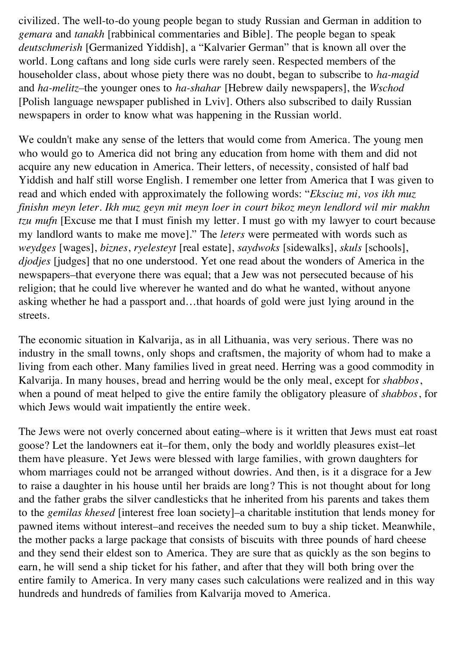civilized. The well-to-do young people began to study Russian and German in addition to *gemara* and *tanakh* [rabbinical commentaries and Bible]. The people began to speak *deutschmerish* [Germanized Yiddish], a "Kalvarier German" that is known all over the world. Long caftans and long side curls were rarely seen. Respected members of the householder class, about whose piety there was no doubt, began to subscribe to *ha-magid* and *ha-melitz–*the younger ones to *ha-shahar* [Hebrew daily newspapers], the *Wschod* [Polish language newspaper published in Lviv]. Others also subscribed to daily Russian newspapers in order to know what was happening in the Russian world.

We couldn't make any sense of the letters that would come from America. The young men who would go to America did not bring any education from home with them and did not acquire any new education in America. Their letters, of necessity, consisted of half bad Yiddish and half still worse English. I remember one letter from America that I was given to read and which ended with approximately the following words: "*Eksciuz mi, vos ikh muz finishn meyn leter. Ikh muz geyn mit meyn loer in court bikoz meyn lendlord wil mir makhn tzu mufn* [Excuse me that I must finish my letter. I must go with my lawyer to court because my landlord wants to make me move]." The *leters* were permeated with words such as *weydges* [wages], *biznes*, *ryelesteyt* [real estate], *saydwoks* [sidewalks], *skuls* [schools], *djodjes* [judges] that no one understood. Yet one read about the wonders of America in the newspapers–that everyone there was equal; that a Jew was not persecuted because of his religion; that he could live wherever he wanted and do what he wanted, without anyone asking whether he had a passport and…that hoards of gold were just lying around in the streets.

The economic situation in Kalvarija, as in all Lithuania, was very serious. There was no industry in the small towns, only shops and craftsmen, the majority of whom had to make a living from each other. Many families lived in great need. Herring was a good commodity in Kalvarija. In many houses, bread and herring would be the only meal, except for *shabbos*, when a pound of meat helped to give the entire family the obligatory pleasure of *shabbos*, for which Jews would wait impatiently the entire week.

The Jews were not overly concerned about eating–where is it written that Jews must eat roast goose? Let the landowners eat it–for them, only the body and worldly pleasures exist–let them have pleasure. Yet Jews were blessed with large families, with grown daughters for whom marriages could not be arranged without dowries. And then, is it a disgrace for a Jew to raise a daughter in his house until her braids are long? This is not thought about for long and the father grabs the silver candlesticks that he inherited from his parents and takes them to the *gemilas khesed* [interest free loan society]–a charitable institution that lends money for pawned items without interest–and receives the needed sum to buy a ship ticket. Meanwhile, the mother packs a large package that consists of biscuits with three pounds of hard cheese and they send their eldest son to America. They are sure that as quickly as the son begins to earn, he will send a ship ticket for his father, and after that they will both bring over the entire family to America. In very many cases such calculations were realized and in this way hundreds and hundreds of families from Kalvarija moved to America.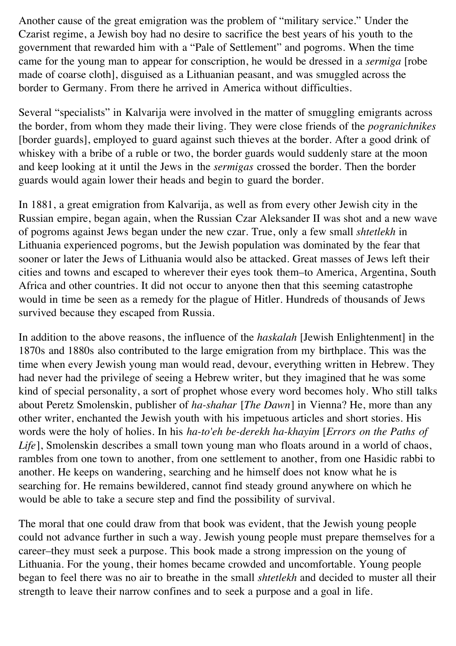Another cause of the great emigration was the problem of "military service." Under the Czarist regime, a Jewish boy had no desire to sacrifice the best years of his youth to the government that rewarded him with a "Pale of Settlement" and pogroms. When the time came for the young man to appear for conscription, he would be dressed in a *sermiga* [robe made of coarse cloth], disguised as a Lithuanian peasant, and was smuggled across the border to Germany. From there he arrived in America without difficulties.

Several "specialists" in Kalvarija were involved in the matter of smuggling emigrants across the border, from whom they made their living. They were close friends of the *pogranichnikes* [border guards], employed to guard against such thieves at the border. After a good drink of whiskey with a bribe of a ruble or two, the border guards would suddenly stare at the moon and keep looking at it until the Jews in the *sermigas* crossed the border. Then the border guards would again lower their heads and begin to guard the border.

In 1881, a great emigration from Kalvarija, as well as from every other Jewish city in the Russian empire, began again, when the Russian Czar Aleksander II was shot and a new wave of pogroms against Jews began under the new czar. True, only a few small *shtetlekh* in Lithuania experienced pogroms, but the Jewish population was dominated by the fear that sooner or later the Jews of Lithuania would also be attacked. Great masses of Jews left their cities and towns and escaped to wherever their eyes took them–to America, Argentina, South Africa and other countries. It did not occur to anyone then that this seeming catastrophe would in time be seen as a remedy for the plague of Hitler. Hundreds of thousands of Jews survived because they escaped from Russia.

In addition to the above reasons, the influence of the *haskalah* [Jewish Enlightenment] in the 1870s and 1880s also contributed to the large emigration from my birthplace. This was the time when every Jewish young man would read, devour, everything written in Hebrew. They had never had the privilege of seeing a Hebrew writer, but they imagined that he was some kind of special personality, a sort of prophet whose every word becomes holy. Who still talks about Peretz Smolenskin, publisher of *ha-shahar* [*The Dawn*] in Vienna? He, more than any other writer, enchanted the Jewish youth with his impetuous articles and short stories. His words were the holy of holies. In his *ha-to'eh be-derekh ha-khayim* [*Errors on the Paths of Life*], Smolenskin describes a small town young man who floats around in a world of chaos, rambles from one town to another, from one settlement to another, from one Hasidic rabbi to another. He keeps on wandering, searching and he himself does not know what he is searching for. He remains bewildered, cannot find steady ground anywhere on which he would be able to take a secure step and find the possibility of survival.

The moral that one could draw from that book was evident, that the Jewish young people could not advance further in such a way. Jewish young people must prepare themselves for a career–they must seek a purpose. This book made a strong impression on the young of Lithuania. For the young, their homes became crowded and uncomfortable. Young people began to feel there was no air to breathe in the small *shtetlekh* and decided to muster all their strength to leave their narrow confines and to seek a purpose and a goal in life.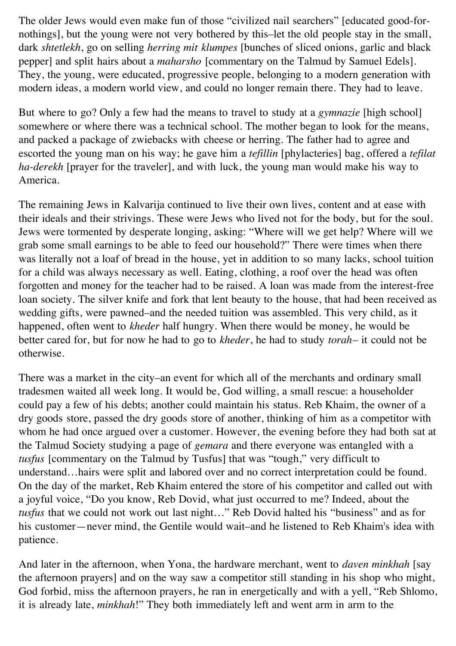The older Jews would even make fun of those "civilized nail searchers" [educated good-fornothings], but the young were not very bothered by this–let the old people stay in the small, dark *shtetlekh*, go on selling *herring mit klumpes* [bunches of sliced onions, garlic and black pepper] and split hairs about a *maharsho* [commentary on the Talmud by Samuel Edels]. They, the young, were educated, progressive people, belonging to a modern generation with modern ideas, a modern world view, and could no longer remain there. They had to leave.

But where to go? Only a few had the means to travel to study at a *gymnazie* [high school] somewhere or where there was a technical school. The mother began to look for the means, and packed a package of zwiebacks with cheese or herring. The father had to agree and escorted the young man on his way; he gave him a *tefillin* [phylacteries] bag, offered a *tefilat ha-derekh* [prayer for the traveler], and with luck, the young man would make his way to America.

The remaining Jews in Kalvarija continued to live their own lives, content and at ease with their ideals and their strivings. These were Jews who lived not for the body, but for the soul. Jews were tormented by desperate longing, asking: "Where will we get help? Where will we grab some small earnings to be able to feed our household?" There were times when there was literally not a loaf of bread in the house, yet in addition to so many lacks, school tuition for a child was always necessary as well. Eating, clothing, a roof over the head was often forgotten and money for the teacher had to be raised. A loan was made from the interest-free loan society. The silver knife and fork that lent beauty to the house, that had been received as wedding gifts, were pawned–and the needed tuition was assembled. This very child, as it happened, often went to *kheder* half hungry. When there would be money, he would be better cared for, but for now he had to go to *kheder*, he had to study *torah*– it could not be otherwise.

There was a market in the city–an event for which all of the merchants and ordinary small tradesmen waited all week long. It would be, God willing, a small rescue: a householder could pay a few of his debts; another could maintain his status. Reb Khaim, the owner of a dry goods store, passed the dry goods store of another, thinking of him as a competitor with whom he had once argued over a customer. However, the evening before they had both sat at the Talmud Society studying a page of *gemara* and there everyone was entangled with a *tusfus* [commentary on the Talmud by Tusfus] that was "tough," very difficult to understand…hairs were split and labored over and no correct interpretation could be found. On the day of the market, Reb Khaim entered the store of his competitor and called out with a joyful voice, "Do you know, Reb Dovid, what just occurred to me? Indeed, about the *tusfus* that we could not work out last night…" Reb Dovid halted his "business" and as for his customer—never mind, the Gentile would wait–and he listened to Reb Khaim's idea with patience.

And later in the afternoon, when Yona, the hardware merchant, went to *daven minkhah* [say the afternoon prayers] and on the way saw a competitor still standing in his shop who might, God forbid, miss the afternoon prayers, he ran in energetically and with a yell, "Reb Shlomo, it is already late, *minkhah*!" They both immediately left and went arm in arm to the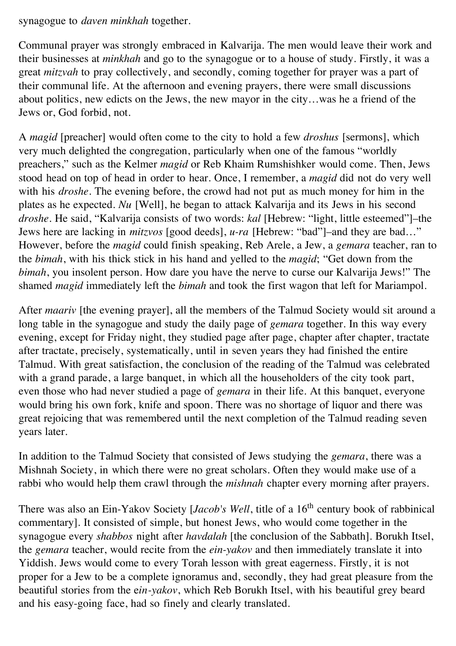synagogue to *daven minkhah* together.

Communal prayer was strongly embraced in Kalvarija. The men would leave their work and their businesses at *minkhah* and go to the synagogue or to a house of study. Firstly, it was a great *mitzvah* to pray collectively, and secondly, coming together for prayer was a part of their communal life. At the afternoon and evening prayers, there were small discussions about politics, new edicts on the Jews, the new mayor in the city…was he a friend of the Jews or, God forbid, not.

A *magid* [preacher] would often come to the city to hold a few *droshus* [sermons], which very much delighted the congregation, particularly when one of the famous "worldly preachers," such as the Kelmer *magid* or Reb Khaim Rumshishker would come. Then, Jews stood head on top of head in order to hear. Once, I remember, a *magid* did not do very well with his *droshe*. The evening before, the crowd had not put as much money for him in the plates as he expected. *Nu* [Well], he began to attack Kalvarija and its Jews in his second *droshe*. He said, "Kalvarija consists of two words: *kal* [Hebrew: "light, little esteemed"]–the Jews here are lacking in *mitzvos* [good deeds], *u-ra* [Hebrew: "bad"]–and they are bad…" However, before the *magid* could finish speaking, Reb Arele, a Jew, a *gemara* teacher, ran to the *bimah*, with his thick stick in his hand and yelled to the *magid*; "Get down from the *bimah*, you insolent person. How dare you have the nerve to curse our Kalvarija Jews!" The shamed *magid* immediately left the *bimah* and took the first wagon that left for Mariampol.

After *maariv* [the evening prayer], all the members of the Talmud Society would sit around a long table in the synagogue and study the daily page of *gemara* together. In this way every evening, except for Friday night, they studied page after page, chapter after chapter, tractate after tractate, precisely, systematically, until in seven years they had finished the entire Talmud. With great satisfaction, the conclusion of the reading of the Talmud was celebrated with a grand parade, a large banquet, in which all the householders of the city took part, even those who had never studied a page of *gemara* in their life. At this banquet, everyone would bring his own fork, knife and spoon. There was no shortage of liquor and there was great rejoicing that was remembered until the next completion of the Talmud reading seven years later.

In addition to the Talmud Society that consisted of Jews studying the *gemara*, there was a Mishnah Society, in which there were no great scholars. Often they would make use of a rabbi who would help them crawl through the *mishnah* chapter every morning after prayers.

There was also an Ein-Yakov Society [*Jacob's Well*, title of a 16<sup>th</sup> century book of rabbinical commentary]. It consisted of simple, but honest Jews, who would come together in the synagogue every *shabbos* night after *havdalah* [the conclusion of the Sabbath]. Borukh Itsel, the *gemara* teacher, would recite from the *ein-yakov* and then immediately translate it into Yiddish. Jews would come to every Torah lesson with great eagerness. Firstly, it is not proper for a Jew to be a complete ignoramus and, secondly, they had great pleasure from the beautiful stories from the e*in-yakov*, which Reb Borukh Itsel, with his beautiful grey beard and his easy-going face, had so finely and clearly translated.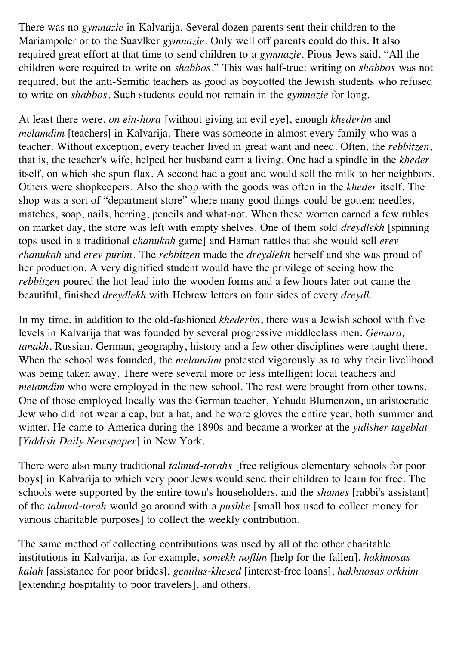There was no *gymnazie* in Kalvarija. Several dozen parents sent their children to the Mariampoler or to the Suavlker *gymnazie*. Only well off parents could do this. It also required great effort at that time to send children to a *gymnazie*. Pious Jews said, "All the children were required to write on *shabbos*." This was half-true: writing on *shabbos* was not required, but the anti-Semitic teachers as good as boycotted the Jewish students who refused to write on *shabbos*. Such students could not remain in the *gymnazie* for long.

At least there were, *on ein-hora* [without giving an evil eye], enough *khederim* and *melamdim* [teachers] in Kalvarija. There was someone in almost every family who was a teacher. Without exception, every teacher lived in great want and need. Often, the *rebbitzen*, that is, the teacher's wife, helped her husband earn a living. One had a spindle in the *kheder* itself, on which she spun flax. A second had a goat and would sell the milk to her neighbors. Others were shopkeepers. Also the shop with the goods was often in the *kheder* itself. The shop was a sort of "department store" where many good things could be gotten: needles, matches, soap, nails, herring, pencils and what-not. When these women earned a few rubles on market day, the store was left with empty shelves. One of them sold *dreydlekh* [spinning tops used in a traditional c*hanukah* game] and Haman rattles that she would sell *erev chanukah* and *erev purim*. The *rebbitzen* made the *dreydlekh* herself and she was proud of her production. A very dignified student would have the privilege of seeing how the *rebbitzen* poured the hot lead into the wooden forms and a few hours later out came the beautiful, finished *dreydlekh* with Hebrew letters on four sides of every *dreydl*.

In my time, in addition to the old-fashioned *khederim*, there was a Jewish school with five levels in Kalvarija that was founded by several progressive middleclass men. *Gemara, tanakh*, Russian, German, geography, history and a few other disciplines were taught there. When the school was founded, the *melamdim* protested vigorously as to why their livelihood was being taken away. There were several more or less intelligent local teachers and *melamdim* who were employed in the new school. The rest were brought from other towns. One of those employed locally was the German teacher, Yehuda Blumenzon, an aristocratic Jew who did not wear a cap, but a hat, and he wore gloves the entire year, both summer and winter. He came to America during the 1890s and became a worker at the *yidisher tageblat* [*Yiddish Daily Newspaper*] in New York.

There were also many traditional *talmud-torahs* [free religious elementary schools for poor boys] in Kalvarija to which very poor Jews would send their children to learn for free. The schools were supported by the entire town's householders, and the *shames* [rabbi's assistant] of the *talmud-torah* would go around with a *pushke* [small box used to collect money for various charitable purposes] to collect the weekly contribution.

The same method of collecting contributions was used by all of the other charitable institutions in Kalvarija, as for example, *somekh noflim* [help for the fallen], *hakhnosas kalah* [assistance for poor brides], *gemilus-khesed* [interest-free loans], *hakhnosas orkhim* [extending hospitality to poor travelers], and others.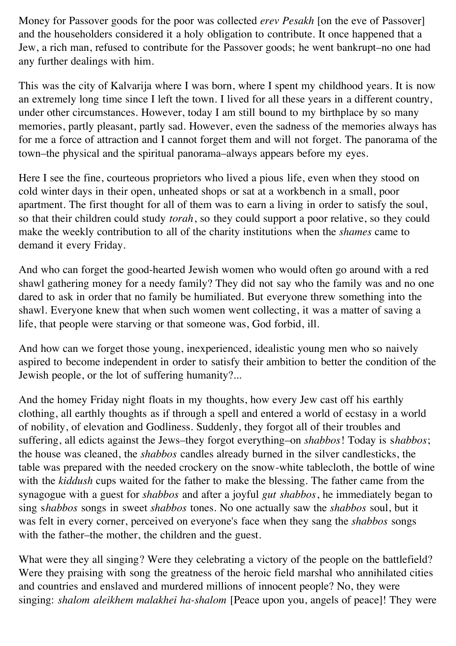Money for Passover goods for the poor was collected *erev Pesakh* [on the eve of Passover] and the householders considered it a holy obligation to contribute. It once happened that a Jew, a rich man, refused to contribute for the Passover goods; he went bankrupt–no one had any further dealings with him.

This was the city of Kalvarija where I was born, where I spent my childhood years. It is now an extremely long time since I left the town. I lived for all these years in a different country, under other circumstances. However, today I am still bound to my birthplace by so many memories, partly pleasant, partly sad. However, even the sadness of the memories always has for me a force of attraction and I cannot forget them and will not forget. The panorama of the town–the physical and the spiritual panorama–always appears before my eyes.

Here I see the fine, courteous proprietors who lived a pious life, even when they stood on cold winter days in their open, unheated shops or sat at a workbench in a small, poor apartment. The first thought for all of them was to earn a living in order to satisfy the soul, so that their children could study *torah*, so they could support a poor relative, so they could make the weekly contribution to all of the charity institutions when the *shames* came to demand it every Friday.

And who can forget the good-hearted Jewish women who would often go around with a red shawl gathering money for a needy family? They did not say who the family was and no one dared to ask in order that no family be humiliated. But everyone threw something into the shawl. Everyone knew that when such women went collecting, it was a matter of saving a life, that people were starving or that someone was, God forbid, ill.

And how can we forget those young, inexperienced, idealistic young men who so naively aspired to become independent in order to satisfy their ambition to better the condition of the Jewish people, or the lot of suffering humanity?...

And the homey Friday night floats in my thoughts, how every Jew cast off his earthly clothing, all earthly thoughts as if through a spell and entered a world of ecstasy in a world of nobility, of elevation and Godliness. Suddenly, they forgot all of their troubles and suffering, all edicts against the Jews–they forgot everything–on *shabbos*! Today is s*habbos*; the house was cleaned, the *shabbos* candles already burned in the silver candlesticks, the table was prepared with the needed crockery on the snow-white tablecloth, the bottle of wine with the *kiddush* cups waited for the father to make the blessing. The father came from the synagogue with a guest for *shabbos* and after a joyful *gut shabbos*, he immediately began to sing s*habbos* songs in sweet *shabbos* tones. No one actually saw the *shabbos* soul, but it was felt in every corner, perceived on everyone's face when they sang the *shabbos* songs with the father–the mother, the children and the guest.

What were they all singing? Were they celebrating a victory of the people on the battlefield? Were they praising with song the greatness of the heroic field marshal who annihilated cities and countries and enslaved and murdered millions of innocent people? No, they were singing: *shalom aleikhem malakhei ha-shalom* [Peace upon you, angels of peace]! They were